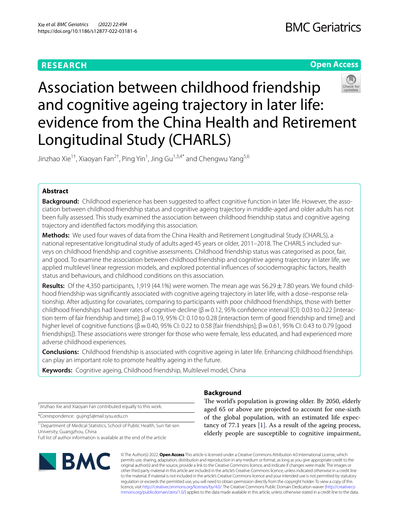## **RESEARCH**

## **Open Access**



# Association between childhood friendship and cognitive ageing trajectory in later life: evidence from the China Health and Retirement Longitudinal Study (CHARLS)

Jinzhao Xie<sup>1†</sup>, Xiaoyan Fan<sup>2†</sup>, Ping Yin<sup>1</sup>, Jing Gu<sup>1,3,4\*</sup> and Chengwu Yang<sup>5,6</sup>

## **Abstract**

**Background:** Childhood experience has been suggested to affect cognitive function in later life. However, the association between childhood friendship status and cognitive ageing trajectory in middle-aged and older adults has not been fully assessed. This study examined the association between childhood friendship status and cognitive ageing trajectory and identifed factors modifying this association.

**Methods:** We used four waves of data from the China Health and Retirement Longitudinal Study (CHARLS), a national representative longitudinal study of adults aged 45 years or older, 2011–2018. The CHARLS included surveys on childhood friendship and cognitive assessments. Childhood friendship status was categorised as poor, fair, and good. To examine the association between childhood friendship and cognitive ageing trajectory in later life, we applied multilevel linear regression models, and explored potential infuences of sociodemographic factors, health status and behaviours, and childhood conditions on this association.

**Results:** Of the 4,350 participants, 1,919 (44.1%) were women. The mean age was 56.29 ± 7.80 years. We found childhood friendship was signifcantly associated with cognitive ageing trajectory in later life, with a dose–response relationship. After adjusting for covariates, comparing to participants with poor childhood friendships, those with better childhood friendships had lower rates of cognitive decline ( $\beta$  = 0.12, 95% confidence interval [CI]: 0.03 to 0.22 [interaction term of fair friendship and time];  $\beta$  = 0.19, 95% CI: 0.10 to 0.28 [interaction term of good friendship and time]) and higher level of cognitive functions ( $β = 0.40$ , 95% CI: 0.22 to 0.58 [fair friendships];  $β = 0.61$ , 95% CI: 0.43 to 0.79 [good friendships]). These associations were stronger for those who were female, less educated, and had experienced more adverse childhood experiences.

**Conclusions:** Childhood friendship is associated with cognitive ageing in later life. Enhancing childhood friendships can play an important role to promote healthy ageing in the future.

**Keywords:** Cognitive ageing, Childhood friendship, Multilevel model, China

† Jinzhao Xie and Xiaoyan Fan contributed equally to this work.

\*Correspondence: gujing5@mail.sysu.edu.cn

<sup>1</sup> Department of Medical Statistics, School of Public Health, Sun Yat-sen University, Guangzhou, China

Full list of author information is available at the end of the article



## **Background**

The world's population is growing older. By 2050, elderly aged 65 or above are projected to account for one-sixth of the global population, with an estimated life expectancy of 77.1 years [\[1](#page-8-0)]. As a result of the ageing process, elderly people are susceptible to cognitive impairment,

© The Author(s) 2022. **Open Access** This article is licensed under a Creative Commons Attribution 4.0 International License, which permits use, sharing, adaptation, distribution and reproduction in any medium or format, as long as you give appropriate credit to the original author(s) and the source, provide a link to the Creative Commons licence, and indicate if changes were made. The images or other third party material in this article are included in the article's Creative Commons licence, unless indicated otherwise in a credit line to the material. If material is not included in the article's Creative Commons licence and your intended use is not permitted by statutory regulation or exceeds the permitted use, you will need to obtain permission directly from the copyright holder. To view a copy of this licence, visit [http://creativecommons.org/licenses/by/4.0/.](http://creativecommons.org/licenses/by/4.0/) The Creative Commons Public Domain Dedication waiver ([http://creativeco](http://creativecommons.org/publicdomain/zero/1.0/) [mmons.org/publicdomain/zero/1.0/](http://creativecommons.org/publicdomain/zero/1.0/)) applies to the data made available in this article, unless otherwise stated in a credit line to the data.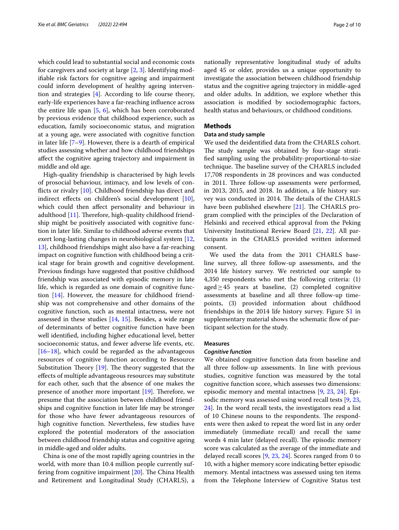which could lead to substantial social and economic costs for caregivers and society at large  $[2, 3]$  $[2, 3]$  $[2, 3]$  $[2, 3]$ . Identifying modifable risk factors for cognitive ageing and impairment could inform development of healthy ageing intervention and strategies [[4\]](#page-8-3). According to life course theory, early-life experiences have a far-reaching infuence across the entire life span [[5,](#page-8-4) [6\]](#page-8-5), which has been corroborated by previous evidence that childhood experience, such as education, family socioeconomic status, and migration at a young age, were associated with cognitive function in later life  $[7-9]$  $[7-9]$ . However, there is a dearth of empirical studies assessing whether and how childhood friendships afect the cognitive ageing trajectory and impairment in middle and old age.

High-quality friendship is characterised by high levels of prosocial behaviour, intimacy, and low levels of conficts or rivalry [\[10](#page-8-8)]. Childhood friendship has direct and indirect effects on children's social development  $[10]$  $[10]$ , which could then afect personality and behaviour in adulthood  $[11]$  $[11]$ . Therefore, high-quality childhood friendship might be positively associated with cognitive function in later life. Similar to childhood adverse events that exert long-lasting changes in neurobiological system [\[12](#page-8-10), [13\]](#page-8-11), childhood friendships might also have a far-reaching impact on cognitive function with childhood being a critical stage for brain growth and cognitive development. Previous fndings have suggested that positive childhood friendship was associated with episodic memory in late life, which is regarded as one domain of cognitive function [[14\]](#page-8-12). However, the measure for childhood friendship was not comprehensive and other domains of the cognitive function, such as mental intactness, were not assessed in these studies [\[14,](#page-8-12) [15](#page-8-13)]. Besides, a wide range of determinants of better cognitive function have been well identifed, including higher educational level, better socioeconomic status, and fewer adverse life events, etc.  $[16–18]$  $[16–18]$  $[16–18]$  $[16–18]$ , which could be regarded as the advantageous resources of cognitive function according to Resource Substitution Theory  $[19]$  $[19]$ . The theory suggested that the efects of multiple advantageous resources may substitute for each other, such that the absence of one makes the presence of another more important  $[19]$  $[19]$ . Therefore, we presume that the association between childhood friendships and cognitive function in later life may be stronger for those who have fewer advantageous resources of high cognitive function. Nevertheless, few studies have explored the potential moderators of the association between childhood friendship status and cognitive ageing in middle-aged and older adults.

China is one of the most rapidly ageing countries in the world, with more than 10.4 million people currently suffering from cognitive impairment  $[20]$  $[20]$ . The China Health and Retirement and Longitudinal Study (CHARLS), a nationally representative longitudinal study of adults aged 45 or older, provides us a unique opportunity to investigate the association between childhood friendship status and the cognitive ageing trajectory in middle-aged and older adults. In addition, we explore whether this association is modifed by sociodemographic factors, health status and behaviours, or childhood conditions.

#### **Methods**

## **Data and study sample**

We used the deidentifed data from the CHARLS cohort. The study sample was obtained by four-stage stratifed sampling using the probability-proportional-to-size technique. The baseline survey of the CHARLS included 17,708 respondents in 28 provinces and was conducted in 2011. Three follow-up assessments were performed, in 2013, 2015, and 2018. In addition, a life history survey was conducted in 2014. The details of the CHARLS have been published elsewhere  $[21]$ . The CHARLS program complied with the principles of the Declaration of Helsinki and received ethical approval from the Peking University Institutional Review Board [\[21](#page-9-3), [22](#page-9-4)]. All participants in the CHARLS provided written informed consent.

We used the data from the 2011 CHARLS baseline survey, all three follow-up assessments, and the 2014 life history survey. We restricted our sample to 4,350 respondents who met the following criteria: (1) aged $\geq$ 45 years at baseline, (2) completed cognitive assessments at baseline and all three follow-up timepoints, (3) provided information about childhood friendships in the 2014 life history survey. Figure S[1](#page-8-15) in supplementary material shows the schematic flow of participant selection for the study.

#### **Measures**

#### *Cognitive function*

We obtained cognitive function data from baseline and all three follow-up assessments. In line with previous studies, cognitive function was measured by the total cognitive function score, which assesses two dimensions: episodic memory and mental intactness [\[9](#page-8-7), [23,](#page-9-5) [24](#page-9-6)]. Episodic memory was assessed using word recall tests [[9,](#page-8-7) [23](#page-9-5), [24\]](#page-9-6). In the word recall tests, the investigators read a list of 10 Chinese nouns to the respondents. The respondents were then asked to repeat the word list in any order immediately (immediate recall) and recall the same words 4 min later (delayed recall). The episodic memory score was calculated as the average of the immediate and delayed recall scores [\[9](#page-8-7), [23](#page-9-5), [24](#page-9-6)]. Scores ranged from 0 to 10, with a higher memory score indicating better episodic memory. Mental intactness was assessed using ten items from the Telephone Interview of Cognitive Status test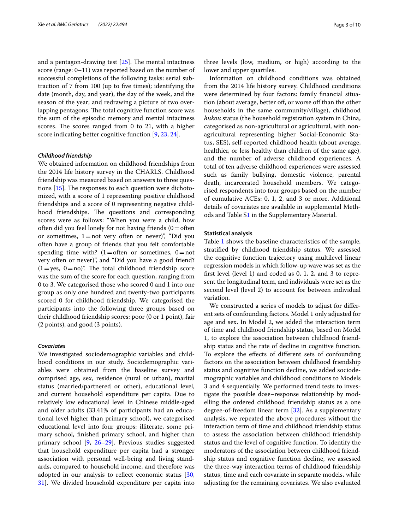and a pentagon-drawing test  $[25]$  $[25]$ . The mental intactness score (range: 0–11) was reported based on the number of successful completions of the following tasks: serial subtraction of 7 from 100 (up to fve times); identifying the date (month, day, and year), the day of the week, and the season of the year; and redrawing a picture of two overlapping pentagons. The total cognitive function score was the sum of the episodic memory and mental intactness scores. The scores ranged from  $0$  to  $21$ , with a higher score indicating better cognitive function [\[9](#page-8-7), [23,](#page-9-5) [24](#page-9-6)].

#### *Childhood friendship*

We obtained information on childhood friendships from the 2014 life history survey in the CHARLS. Childhood friendship was measured based on answers to three questions  $[15]$ . The responses to each question were dichotomized, with a score of 1 representing positive childhood friendships and a score of 0 representing negative childhood friendships. The questions and corresponding scores were as follows: "When you were a child, how often did you feel lonely for not having friends  $(0=$  often or sometimes,  $1=$ not very often or never)", "Did you often have a group of friends that you felt comfortable spending time with?  $(1=$ often or sometimes,  $0=$ not very often or never)", and "Did you have a good friend?  $(1=yes, 0=no)$ ". The total childhood friendship score was the sum of the score for each question, ranging from 0 to 3. We categorised those who scored 0 and 1 into one group as only one hundred and twenty-two participants scored 0 for childhood friendship. We categorised the participants into the following three groups based on their childhood friendship scores: poor (0 or 1 point), fair (2 points), and good (3 points).

## *Covariates*

We investigated sociodemographic variables and childhood conditions in our study. Sociodemographic variables were obtained from the baseline survey and comprised age, sex, residence (rural or urban), marital status (married/partnered or other), educational level, and current household expenditure per capita. Due to relatively low educational level in Chinese middle-aged and older adults (33.41% of participants had an educational level higher than primary school), we categorised educational level into four groups: illiterate, some primary school, fnished primary school, and higher than primary school [\[9](#page-8-7), [26–](#page-9-8)[29\]](#page-9-9). Previous studies suggested that household expenditure per capita had a stronger association with personal well-being and living standards, compared to household income, and therefore was adopted in our analysis to refect economic status [\[30](#page-9-10), [31\]](#page-9-11). We divided household expenditure per capita into

three levels (low, medium, or high) according to the lower and upper quartiles.

Information on childhood conditions was obtained from the 2014 life history survey. Childhood conditions were determined by four factors: family fnancial situation (about average, better off, or worse off than the other households in the same community/village), childhood *hukou* status (the household registration system in China, categorised as non-agricultural or agricultural, with nonagricultural representing higher Social-Economic Status, SES), self-reported childhood health (about average, healthier, or less healthy than children of the same age), and the number of adverse childhood experiences. A total of ten adverse childhood experiences were assessed such as family bullying, domestic violence, parental death, incarcerated household members. We categorised respondents into four groups based on the number of cumulative ACEs: 0, 1, 2, and 3 or more. Additional details of covariates are available in supplemental Methods and Table [S1](#page-8-15) in the Supplementary Material.

## **Statistical analysis**

Table [1](#page-3-0) shows the baseline characteristics of the sample, stratifed by childhood friendship status. We assessed the cognitive function trajectory using multilevel linear regression models in which follow-up wave was set as the frst level (level 1) and coded as 0, 1, 2, and 3 to represent the longitudinal term, and individuals were set as the second level (level 2) to account for between individual variation.

We constructed a series of models to adjust for diferent sets of confounding factors. Model 1 only adjusted for age and sex. In Model 2, we added the interaction term of time and childhood friendship status, based on Model 1, to explore the association between childhood friendship status and the rate of decline in cognitive function. To explore the efects of diferent sets of confounding factors on the association between childhood friendship status and cognitive function decline, we added sociodemographic variables and childhood conditions to Models 3 and 4 sequentially. We performed trend tests to investigate the possible dose–response relationship by modelling the ordered childhood friendship status as a one degree-of-freedom linear term [[32](#page-9-12)]. As a supplementary analysis, we repeated the above procedures without the interaction term of time and childhood friendship status to assess the association between childhood friendship status and the level of cognitive function. To identify the moderators of the association between childhood friendship status and cognitive function decline, we assessed the three-way interaction terms of childhood friendship status, time and each covariate in separate models, while adjusting for the remaining covariates. We also evaluated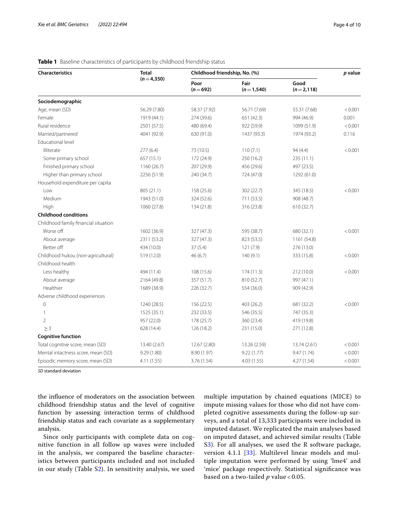| <b>Characteristics</b>               | <b>Total</b> | Childhood friendship, No. (%) | p value             |                      |         |
|--------------------------------------|--------------|-------------------------------|---------------------|----------------------|---------|
|                                      | $(n=4,350)$  | Poor<br>$(n=692)$             | Fair<br>$(n=1,540)$ | Good<br>$(n=2, 118)$ |         |
| Sociodemographic                     |              |                               |                     |                      |         |
| Age, mean (SD)                       | 56.29 (7.80) | 58.37 (7.92)                  | 56.71 (7.69)        | 55.31 (7.68)         | < 0.001 |
| Female                               | 1919 (44.1)  | 274 (39.6)                    | 651 (42.3)          | 994 (46.9)           | 0.001   |
| Rural residence                      | 2501 (57.5)  | 480 (69.4)                    | 922 (59.9)          | 1099 (51.9)          | < 0.001 |
| Married/partnered                    | 4041 (92.9)  | 630 (91.0)                    | 1437 (93.3)         | 1974 (93.2)          | 0.116   |
| Educational level                    |              |                               |                     |                      |         |
| Illiterate                           | 277(6.4)     | 73 (10.5)                     | 110(7.1)            | 94 (4.4)             | < 0.001 |
| Some primary school                  | 657 (15.1)   | 172 (24.9)                    | 250 (16.2)          | 235(11.1)            |         |
| Finished primary school              | 1160 (26.7)  | 207 (29.9)                    | 456 (29.6)          | 497 (23.5)           |         |
| Higher than primary school           | 2256 (51.9)  | 240 (34.7)                    | 724 (47.0)          | 1292 (61.0)          |         |
| Household expenditure per capita     |              |                               |                     |                      |         |
| Low                                  | 805 (21.1)   | 158 (25.6)                    | 302 (22.7)          | 345 (18.5)           | < 0.001 |
| Medium                               | 1943 (51.0)  | 324 (52.6)                    | 711 (53.5)          | 908 (48.7)           |         |
| High                                 | 1060 (27.8)  | 134 (21.8)                    | 316 (23.8)          | 610 (32.7)           |         |
| <b>Childhood conditions</b>          |              |                               |                     |                      |         |
| Childhood family financial situation |              |                               |                     |                      |         |
| Worse off                            | 1602 (36.9)  | 327 (47.3)                    | 595 (38.7)          | 680 (32.1)           | < 0.001 |
| About average                        | 2311 (53.2)  | 327 (47.3)                    | 823 (53.5)          | 1161 (54.8)          |         |
| Better off                           | 434 (10.0)   | 37(5.4)                       | 121(7.9)            | 276 (13.0)           |         |
| Childhood hukou (non-agricultural)   | 519 (12.0)   | 46 (6.7)                      | 140(9.1)            | 333 (15.8)           | < 0.001 |
| Childhood health                     |              |                               |                     |                      |         |
| Less healthy                         | 494 (11.4)   | 108 (15.6)                    | 174(11.3)           | 212 (10.0)           | < 0.001 |
| About average                        | 2164 (49.8)  | 357 (51.7)                    | 810 (52.7)          | 997 (47.1)           |         |
| Healthier                            | 1689 (38.9)  | 226 (32.7)                    | 554 (36.0)          | 909 (42.9)           |         |
| Adverse childhood experiences        |              |                               |                     |                      |         |
| $\mathbf 0$                          | 1240 (28.5)  | 156 (22.5)                    | 403 (26.2)          | 681 (32.2)           | < 0.001 |
| 1                                    | 1525 (35.1)  | 232 (33.5)                    | 546 (35.5)          | 747 (35.3)           |         |
| 2                                    | 957 (22.0)   | 178 (25.7)                    | 360 (23.4)          | 419 (19.8)           |         |
| $\geq$ 3                             | 628 (14.4)   | 126 (18.2)                    | 231 (15.0)          | 271 (12.8)           |         |
| <b>Cognitive function</b>            |              |                               |                     |                      |         |
| Total cognitive score, mean (SD)     | 13.40 (2.67) | 12.67 (2.80)                  | 13.26 (2.59)        | 13.74 (2.61)         | < 0.001 |
| Mental intactness score, mean (SD)   | 9.29 (1.80)  | 8.90 (1.97)                   | 9.22(1.77)          | 9.47(1.74)           | < 0.001 |
| Episodic memory score, mean (SD)     | 4.11 (1.55)  | 3.76 (1.54)                   | 4.03(1.55)          | 4.27 (1.54)          | < 0.001 |

### <span id="page-3-0"></span>**Table 1** Baseline characteristics of participants by childhood friendship status

*SD* standard deviation

the infuence of moderators on the association between childhood friendship status and the level of cognitive function by assessing interaction terms of childhood friendship status and each covariate as a supplementary analysis.

Since only participants with complete data on cognitive function in all follow up waves were included in the analysis, we compared the baseline characteristics between participants included and not included in our study (Table [S2](#page-8-15)). In sensitivity analysis, we used multiple imputation by chained equations (MICE) to impute missing values for those who did not have completed cognitive assessments during the follow-up surveys, and a total of 13,333 participants were included in imputed dataset. We replicated the main analyses based on imputed dataset, and achieved similar results (Table S[3\)](#page-8-15). For all analyses, we used the R software package, version 4.1.1 [[33\]](#page-9-13). Multilevel linear models and multiple imputation were performed by using 'lme4' and 'mice' package respectively. Statistical signifcance was based on a two-tailed *p* value < 0.05.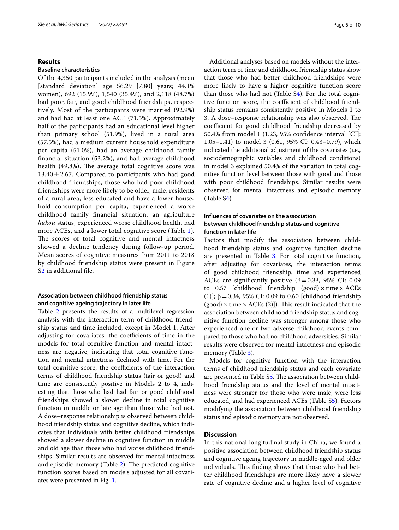#### **Results**

#### **Baseline characteristics**

Of the 4,350 participants included in the analysis (mean [standard deviation] age 56.29 [7.80] years; 44.1% women), 692 (15.9%), 1,540 (35.4%), and 2,118 (48.7%) had poor, fair, and good childhood friendships, respectively. Most of the participants were married (92.9%) and had had at least one ACE (71.5%). Approximately half of the participants had an educational level higher than primary school (51.9%), lived in a rural area (57.5%), had a medium current household expenditure per capita (51.0%), had an average childhood family fnancial situation (53.2%), and had average childhood health (49.8%). The average total cognitive score was  $13.40 \pm 2.67$ . Compared to participants who had good childhood friendships, those who had poor childhood friendships were more likely to be older, male, residents of a rural area, less educated and have a lower household consumption per capita, experienced a worse childhood family fnancial situation, an agriculture *hukou* status, experienced worse childhood health, had more ACEs, and a lower total cognitive score (Table [1\)](#page-3-0). The scores of total cognitive and mental intactness showed a decline tendency during follow-up period. Mean scores of cognitive measures from 2011 to 2018 by childhood friendship status were present in Figure S[2](#page-8-15) in additional fle.

## **Association between childhood friendship status and cognitive ageing trajectory in later life**

Table [2](#page-5-0) presents the results of a multilevel regression analysis with the interaction term of childhood friendship status and time included, except in Model 1. After adjusting for covariates, the coefficients of time in the models for total cognitive function and mental intactness are negative, indicating that total cognitive function and mental intactness declined with time. For the total cognitive score, the coefficients of the interaction terms of childhood friendship status (fair or good) and time are consistently positive in Models 2 to 4, indicating that those who had had fair or good childhood friendships showed a slower decline in total cognitive function in middle or late age than those who had not. A dose–response relationship is observed between childhood friendship status and cognitive decline, which indicates that individuals with better childhood friendships showed a slower decline in cognitive function in middle and old age than those who had worse childhood friendships. Similar results are observed for mental intactness and episodic memory (Table  $2$ ). The predicted cognitive function scores based on models adjusted for all covariates were presented in Fig. [1.](#page-6-0)

Additional analyses based on models without the interaction term of time and childhood friendship status show that those who had better childhood friendships were more likely to have a higher cognitive function score than those who had not (Table [S4\)](#page-8-15). For the total cognitive function score, the coefficient of childhood friendship status remains consistently positive in Models 1 to 3. A dose–response relationship was also observed. The coefficient for good childhood friendship decreased by 50.4% from model 1 (1.23, 95% confdence interval [CI]: 1.05–1.41) to model 3 (0.61, 95% CI: 0.43–0.79), which indicated the additional adjustment of the covariates (i.e., sociodemographic variables and childhood conditions) in model 3 explained 50.4% of the variation in total cognitive function level between those with good and those with poor childhood friendships. Similar results were observed for mental intactness and episodic memory (Table S[4\)](#page-8-15).

## **Infuences of covariates on the association between childhood friendship status and cognitive function in later life**

Factors that modify the association between childhood friendship status and cognitive function decline are presented in Table [3](#page-7-0). For total cognitive function, after adjusting for covariates, the interaction terms of good childhood friendship, time and experienced ACEs are significantly positive ( $\beta$ =0.33, 95% CI: 0.09 to  $0.57$  [childhood friendship (good)  $\times$  time  $\times$  ACEs (1)];  $β = 0.34$ , 95% CI: 0.09 to 0.60 [childhood friendship  $(good) \times time \times ACEs$  (2)]). This result indicated that the association between childhood friendship status and cognitive function decline was stronger among those who experienced one or two adverse childhood events compared to those who had no childhood adversities. Similar results were observed for mental intactness and episodic memory (Table [3](#page-7-0)).

Models for cognitive function with the interaction terms of childhood friendship status and each covariate are presented in Table S[5](#page-8-15). The association between childhood friendship status and the level of mental intactness were stronger for those who were male, were less educated, and had experienced ACEs (Table [S5](#page-8-15)). Factors modifying the association between childhood friendship status and episodic memory are not observed.

## **Discussion**

In this national longitudinal study in China, we found a positive association between childhood friendship status and cognitive ageing trajectory in middle-aged and older individuals. This finding shows that those who had better childhood friendships are more likely have a slower rate of cognitive decline and a higher level of cognitive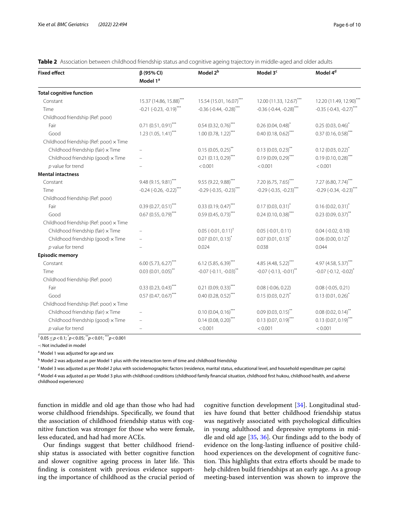| <b>Fixed effect</b>                     | $\beta$ (95% CI)                             | Model 2 <sup>b</sup>                         | Model 3 <sup>c</sup>                         | Model 4 <sup>d</sup>                         |
|-----------------------------------------|----------------------------------------------|----------------------------------------------|----------------------------------------------|----------------------------------------------|
|                                         | Model 1 <sup>ª</sup>                         |                                              |                                              |                                              |
| <b>Total cognitive function</b>         |                                              |                                              |                                              |                                              |
| Constant                                | 15.37 (14.86, 15.88)***                      | 15.54 (15.01, 16.07)***                      | 12.00 (11.33, 12.67)***                      | 12.20 (11.49, 12.90)***                      |
| Time                                    | $-0.21$ $(-0.23, -0.19)$ ***                 | $-0.36$ ( $-0.44$ , $-0.28$ ) <sup>***</sup> | $-0.36$ ( $-0.44$ , $-0.28$ ) <sup>***</sup> | $-0.35$ ( $-0.43$ , $-0.27$ ) <sup>***</sup> |
| Childhood friendship (Ref: poor)        |                                              |                                              |                                              |                                              |
| Fair                                    | $0.71(0.51, 0.91)$ ***                       | $0.54$ (0.32, 0.76) <sup>***</sup>           | $0.26(0.04, 0.48)^{*}$                       | $0.25(0.03, 0.46)^{*}$                       |
| Good                                    | $1.23(1.05, 1.41)$ ***                       | $1.00(0.78, 1.22)$ ***                       | $0.40(0.18, 0.62)$ ***                       | $0.37(0.16, 0.58)$ ***                       |
| Childhood friendship (Ref: poor) x Time |                                              |                                              |                                              |                                              |
| Childhood friendship (fair) x Time      |                                              | $0.15(0.05, 0.25)$ **                        | $0.13(0.03, 0.23)$ **                        | $0.12(0.03, 0.22)^{*}$                       |
| Childhood friendship (good) x Time      |                                              | $0.21(0.13, 0.29)$ ***                       | $0.19(0.09, 0.29)$ ***                       | $0.19(0.10, 0.28)$ ***                       |
| $p$ value for trend                     |                                              | < 0.001                                      | < 0.001                                      | < 0.001                                      |
| <b>Mental intactness</b>                |                                              |                                              |                                              |                                              |
| Constant                                | 9.48 (9.15, 9.81)***                         | 9.55 (9.22, 9.88)***                         | 7.20 (6.75, 7.65)***                         | $7.27$ (6.80, 7.74) <sup>***</sup>           |
| Time                                    | $-0.24$ ( $-0.26$ , $-0.22$ ) <sup>***</sup> | $-0.29$ ( $-0.35$ , $-0.23$ ) <sup>***</sup> | $-0.29$ $(-0.35, -0.23)$ ***                 | $-0.29$ $(-0.34, -0.23)$ <sup>***</sup>      |
| Childhood friendship (Ref: poor)        |                                              |                                              |                                              |                                              |
| Fair                                    | $0.39(0.27, 0.51)$ ***                       | $0.33(0.19, 0.47)$ ***                       | $0.17(0.03, 0.31)^{*}$                       | $0.16(0.02, 0.31)^{*}$                       |
| Good                                    | $0.67(0.55, 0.79)$ ***                       | $0.59(0.45, 0.73)$ ***                       | $0.24$ (0.10, 0.38) <sup>***</sup>           | $0.23(0.09, 0.37)$ **                        |
| Childhood friendship (Ref: poor) x Time |                                              |                                              |                                              |                                              |
| Childhood friendship (fair) x Time      |                                              | $0.05$ (-0.01, 0.11) <sup>†</sup>            | $0.05$ (-0.01, 0.11)                         | $0.04$ (-0.02, 0.10)                         |
| Childhood friendship (good) x Time      |                                              | $0.07(0.01, 0.13)^{*}$                       | $0.07(0.01, 0.13)^{*}$                       | $0.06$ (0.00, 0.12) <sup>*</sup>             |
| $p$ value for trend                     |                                              | 0.024                                        | 0.038                                        | 0.044                                        |
| <b>Episodic memory</b>                  |                                              |                                              |                                              |                                              |
| Constant                                | $6.00(5.73, 6.27)$ ***                       | $6.12(5.85, 6.39)$ ***                       | 4.85 (4.48, 5.22)***                         | 4.97 (4.58, 5.37)***                         |
| Time                                    | $0.03(0.01, 0.05)$ **                        | $-0.07$ $(-0.11, -0.03)$ <sup>**</sup>       | $-0.07$ $(-0.13, -0.01)$ **                  | $-0.07$ $(-0.12, -0.02)^*$                   |
| Childhood friendship (Ref: poor)        |                                              |                                              |                                              |                                              |
| Fair                                    | $0.33(0.23, 0.43)$ ***                       | $0.21(0.09, 0.33)$ ***                       | $0.08$ (-0.06, 0.22)                         | $0.08$ (-0.05, 0.21)                         |
| Good                                    | $0.57(0.47, 0.67)$ ***                       | $0.40(0.28, 0.52)$ ***                       | $0.15(0.03, 0.27)^{*}$                       | $0.13(0.01, 0.26)^{*}$                       |
| Childhood friendship (Ref: poor) x Time |                                              |                                              |                                              |                                              |
| Childhood friendship (fair) x Time      |                                              | $0.10(0.04, 0.16)$ ***                       | $0.09(0.03, 0.15)$ **                        | $0.08(0.02, 0.14)$ **                        |
| Childhood friendship (good) x Time      |                                              | $0.14(0.08, 0.20)$ ***                       | $0.13(0.07, 0.19)$ ***                       | $0.13(0.07, 0.19)$ ***                       |
| $p$ value for trend                     |                                              | < 0.001                                      | < 0.001                                      | < 0.001                                      |

<span id="page-5-0"></span>**Table 2** Association between childhood friendship status and cognitive ageing trajectory in middle-aged and older adults

† 0.05≤*p*<0.1; \* *p*<0.05; \*\**p*<0.01; \*\*\**p*<0.001

–: Not included in model

<sup>a</sup> Model 1 was adjusted for age and sex

<sup>b</sup> Model 2 was adjusted as per Model 1 plus with the interaction term of time and childhood friendship

<sup>c</sup> Model 3 was adjusted as per Model 2 plus with sociodemographic factors (residence, marital status, educational level, and household expenditure per capita) <sup>d</sup> Model 4 was adjusted as per Model 3 plus with childhood conditions (childhood family financial situation, childhood first hukou, childhood health, and adverse childhood experiences)

function in middle and old age than those who had had worse childhood friendships. Specifcally, we found that the association of childhood friendship status with cognitive function was stronger for those who were female, less educated, and had had more ACEs.

Our fndings suggest that better childhood friendship status is associated with better cognitive function and slower cognitive ageing process in later life. This fnding is consistent with previous evidence supporting the importance of childhood as the crucial period of

cognitive function development [\[34\]](#page-9-14). Longitudinal studies have found that better childhood friendship status was negatively associated with psychological difficulties in young adulthood and depressive symptoms in middle and old age [[35](#page-9-15), [36](#page-9-16)]. Our fndings add to the body of evidence on the long-lasting infuence of positive childhood experiences on the development of cognitive function. This highlights that extra efforts should be made to help children build friendships at an early age. As a group meeting-based intervention was shown to improve the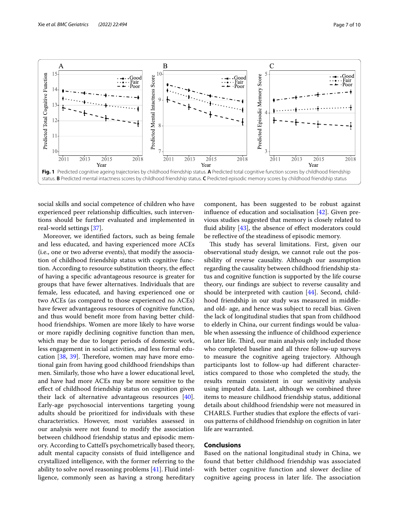

<span id="page-6-0"></span>social skills and social competence of children who have experienced peer relationship difficulties, such interventions should be further evaluated and implemented in real-world settings [[37](#page-9-17)].

Moreover, we identifed factors, such as being female and less educated, and having experienced more ACEs (i.e., one or two adverse events), that modify the association of childhood friendship status with cognitive function. According to resource substitution theory, the efect of having a specifc advantageous resource is greater for groups that have fewer alternatives. Individuals that are female, less educated, and having experienced one or two ACEs (as compared to those experienced no ACEs) have fewer advantageous resources of cognitive function, and thus would beneft more from having better childhood friendships. Women are more likely to have worse or more rapidly declining cognitive function than men, which may be due to longer periods of domestic work, less engagement in social activities, and less formal education  $[38, 39]$  $[38, 39]$  $[38, 39]$  $[38, 39]$ . Therefore, women may have more emotional gain from having good childhood friendships than men. Similarly, those who have a lower educational level, and have had more ACEs may be more sensitive to the efect of childhood friendship status on cognition given their lack of alternative advantageous resources [\[40](#page-9-20)]. Early-age psychosocial interventions targeting young adults should be prioritized for individuals with these characteristics. However, most variables assessed in our analysis were not found to modify the association between childhood friendship status and episodic memory. According to Cattell's psychometrically based theory, adult mental capacity consists of fuid intelligence and crystallized intelligence, with the former referring to the ability to solve novel reasoning problems [\[41\]](#page-9-21). Fluid intelligence, commonly seen as having a strong hereditary

component, has been suggested to be robust against influence of education and socialisation  $[42]$  $[42]$  $[42]$ . Given previous studies suggested that memory is closely related to fluid ability  $[43]$ , the absence of effect moderators could be refective of the steadiness of episodic memory.

This study has several limitations. First, given our observational study design, we cannot rule out the possibility of reverse causality. Although our assumption regarding the causality between childhood friendship status and cognitive function is supported by the life course theory, our fndings are subject to reverse causality and should be interpreted with caution [\[44](#page-9-24)]. Second, childhood friendship in our study was measured in middleand old- age, and hence was subject to recall bias. Given the lack of longitudinal studies that span from childhood to elderly in China, our current fndings would be valuable when assessing the infuence of childhood experience on later life. Third, our main analysis only included those who completed baseline and all three follow-up surveys to measure the cognitive ageing trajectory. Although participants lost to follow-up had diferent characteristics compared to those who completed the study, the results remain consistent in our sensitivity analysis using imputed data. Last, although we combined three items to measure childhood friendship status, additional details about childhood friendship were not measured in CHARLS. Further studies that explore the efects of various patterns of childhood friendship on cognition in later life are warranted.

## **Conclusions**

Based on the national longitudinal study in China, we found that better childhood friendship was associated with better cognitive function and slower decline of cognitive ageing process in later life. The association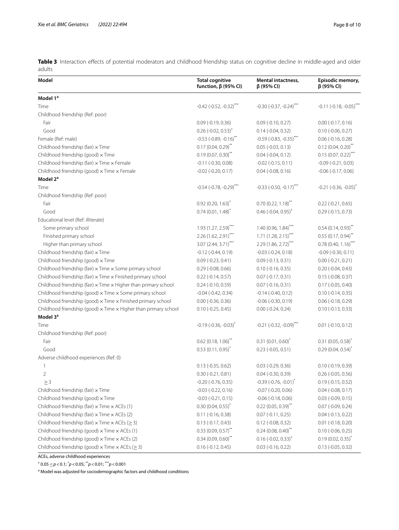<span id="page-7-0"></span>Table 3 Interaction effects of potential moderators and childhood friendship status on cognitive decline in middle-aged and older adults

| Model                                                                         | <b>Total cognitive</b><br>function, $\beta$ (95% CI) | Mental intactness,<br>$\beta$ (95% CI)       | Episodic memory,<br>$\beta$ (95% CI)       |
|-------------------------------------------------------------------------------|------------------------------------------------------|----------------------------------------------|--------------------------------------------|
| Model 1 <sup>a</sup>                                                          |                                                      |                                              |                                            |
| Time                                                                          | $-0.42$ ( $-0.52$ , $-0.32$ ) <sup>***</sup>         | $-0.30$ ( $-0.37$ , $-0.24$ ) <sup>***</sup> | $-0.11 (-0.18, -0.05)$ **                  |
| Childhood friendship (Ref: poor)                                              |                                                      |                                              |                                            |
| Fair                                                                          | $0.09$ (-0.19, 0.36)                                 | $0.09$ (-0.10, 0.27)                         | $0.00$ (-0.17, 0.16)                       |
| Good                                                                          | $0.26$ (-0.02, 0.53) <sup>†</sup>                    | $0.14$ (-0.04, 0.32)                         | $0.10$ (-0.06, 0.27)                       |
| Female (Ref: male)                                                            | $-0.53$ ( $-0.89$ , $-0.16$ ) <sup>**</sup>          | $-0.59$ ( $-0.83$ , $-0.35$ ) <sup>***</sup> | $0.06$ (-0.16, 0.28)                       |
| Childhood friendship (fair) x Time                                            | $0.17(0.04, 0.29)$ **                                | $0.05$ ( $-0.03$ , $0.13$ )                  | $0.12(0.04, 0.20)$ <sup>**</sup>           |
| Childhood friendship (good) x Time                                            | $0.19(0.07, 0.30)$ **                                | $0.04$ ( $-0.04$ , $0.12$ )                  | $0.15(0.07, 0.22)$ ***                     |
| Childhood friendship (fair) x Time x Female                                   | $-0.11$ $(-0.30, 0.08)$                              | $-0.02$ $(-0.15, 0.11)$                      | $-0.09$ $(-0.21, 0.03)$                    |
| Childhood friendship (good) x Time x Female                                   | $-0.02$ $(-0.20, 0.17)$                              | $0.04$ ( $-0.08$ , $0.16$ )                  | $-0.06$ $(-0.17, 0.06)$                    |
| Model 2 <sup>a</sup>                                                          |                                                      |                                              |                                            |
| Time                                                                          | $-0.54$ ( $-0.78$ , $-0.29$ ) <sup>***</sup>         | $-0.33$ ( $-0.50$ , $-0.17$ ) <sup>***</sup> | $-0.21$ ( $-0.36$ , $-0.05$ ) <sup>*</sup> |
| Childhood friendship (Ref: poor)                                              |                                                      |                                              |                                            |
| Fair                                                                          | $0.92(0.20, 1.63)^{*}$                               | $0.70(0.22, 1.18)^{**}$                      | $0.22$ (-0.21, 0.65)                       |
| Good                                                                          | $0.74(0.01, 1.48)^{*}$                               | $0.46$ (-0.04, 0.95) <sup>†</sup>            | $0.29$ (-0.15, 0.73)                       |
| Educational level (Ref: illiterate)                                           |                                                      |                                              |                                            |
| Some primary school                                                           | $1.93(1.27, 2.59)$ <sup>***</sup>                    | 1.40(0.96, 1.84)                             | $0.54(0.14, 0.93)^{**}$                    |
| Finished primary school                                                       | 2.26 (1.62, 2.91)***                                 | $1.71(1.28, 2.15)$ ***                       | $0.55(0.17, 0.94)$ **                      |
| Higher than primary school                                                    | 3.07 (2.44, 3.71)***                                 | $2.29(1.86, 2.72)$ ***                       | $0.78$ (0.40, 1.16) <sup>***</sup>         |
| Childhood friendship (fair) x Time                                            | $-0.12$ $(-0.44, 0.19)$                              | $-0.03$ $(-0.24, 0.18)$                      | $-0.09$ $(-0.30, 0.11)$                    |
| Childhood friendship (good) x Time                                            | $0.09$ (-0.23, 0.41)                                 | $0.09$ (-0.13, 0.31)                         | $0.00 (-0.21, 0.21)$                       |
| Childhood friendship (fair) x Time x Some primary school                      | $0.29$ (-0.08, 0.66)                                 | $0.10$ (-0.16, 0.35)                         | $0.20$ (-0.04, 0.43)                       |
| Childhood friendship (fair) x Time x Finished primary school                  | $0.22$ (-0.14, 0.57)                                 | $0.07$ (-0.17, 0.31)                         | $0.15$ (-0.08, 0.37)                       |
| Childhood friendship (fair) $\times$ Time $\times$ Higher than primary school | $0.24$ (-0.10, 0.59)                                 | $0.07$ (-0.16, 0.31)                         | $0.17$ (-0.05, 0.40)                       |
| Childhood friendship (good) x Time x Some primary school                      | $-0.04$ $(-0.42, 0.34)$                              | $-0.14$ $(-0.40, 0.12)$                      | $0.10 (-0.14, 0.35)$                       |
| Childhood friendship (good) x Time x Finished primary school                  | $0.00$ ( $-0.36$ , $0.36$ )                          | $-0.06$ $(-0.30, 0.19)$                      | $0.06$ ( $-0.18$ , $0.29$ )                |
| Childhood friendship (good) $\times$ Time $\times$ Higher than primary school | $0.10 (-0.25, 0.45)$                                 | $0.00$ (-0.24, 0.24)                         | $0.10$ (-0.13, 0.33)                       |
| Model 3 <sup>ª</sup>                                                          |                                                      |                                              |                                            |
| Time                                                                          | $-0.19(-0.36,-0.03)^{*}$                             | $-0.21$ ( $-0.32$ , $-0.09$ ) <sup>***</sup> | $0.01$ ( $-0.10$ , $0.12$ )                |
| Childhood friendship (Ref: poor)                                              |                                                      |                                              |                                            |
| Fair                                                                          | $0.62$ (0.18, 1.06) <sup>**</sup>                    | $0.31(0.01, 0.60)^{*}$                       | $0.31(0.05, 0.58)^{*}$                     |
| Good                                                                          | $0.53(0.11, 0.95)^{*}$                               | $0.23$ (-0.05, 0.51)                         | $0.29(0.04, 0.54)^{*}$                     |
| Adverse childhood experiences (Ref: 0)                                        |                                                      |                                              |                                            |
| 1                                                                             | $0.13$ (-0.35, 0.62)                                 | $0.03$ ( $-0.29$ , $0.36$ )                  | $0.10 (-0.19, 0.39)$                       |
| $\overline{2}$                                                                | $0.30 (-0.21, 0.81)$                                 | 0.04 (-0.30, 0.39)                           | $0.26$ (-0.05, 0.56)                       |
| $\geq$ 3                                                                      | $-0.20$ $(-0.76, 0.35)$                              | $-0.39$ ( $-0.76$ , $-0.01$ ) <sup>*</sup>   | $0.19(-0.15, 0.52)$                        |
| Childhood friendship (fair) x Time                                            | $-0.03$ $(-0.22, 0.16)$                              | $-0.07$ $(-0.20, 0.06)$                      | $0.04$ (-0.08, 0.17)                       |
| Childhood friendship (good) x Time                                            | $-0.03$ $(-0.21, 0.15)$                              | $-0.06$ $(-0.18, 0.06)$                      | $0.03$ (-0.09, 0.15)                       |
| Childhood friendship (fair) $\times$ Time $\times$ ACEs (1)                   | $0.30(0.04, 0.55)^{*}$                               | $0.22$ (0.05, 0.39) <sup>**</sup>            | $0.07$ (-0.09, 0.24)                       |
| Childhood friendship (fair) $\times$ Time $\times$ ACEs (2)                   | $0.11$ (-0.16, 0.38)                                 | $0.07$ (-0.11, 0.25)                         | $0.04$ (-0.13, 0.22)                       |
| Childhood friendship (fair) $\times$ Time $\times$ ACEs ( $\geq$ 3)           | $0.13$ (-0.17, 0.43)                                 | $0.12$ (-0.08, 0.32)                         | $0.01$ (-0.18, 0.20)                       |
| Childhood friendship (good) x Time x ACEs (1)                                 | $0.33(0.09, 0.57)$ **                                | $0.24$ (0.08, 0.40) <sup>**</sup>            | $0.10$ (-0.06, 0.25)                       |
| Childhood friendship (good) $\times$ Time $\times$ ACEs (2)                   | $0.34(0.09, 0.60)$ <sup>**</sup>                     | $0.16$ (-0.02, 0.33) <sup>†</sup>            | $0.19(0.02, 0.35)^{*}$                     |
| Childhood friendship (good) $\times$ Time $\times$ ACEs ( $\geq$ 3)           | $0.16 (-0.12, 0.45)$                                 | $0.03$ (-0.16, 0.22)                         | $0.13$ (-0.05, 0.32)                       |

ACEs, adverse childhood experiences

† 0.05≤*p*<0.1; \* *p*<0.05; \*\**p*<0.01; \*\*\**p*<0.001

<sup>a</sup> Model was adjusted for sociodemographic factors and childhood conditions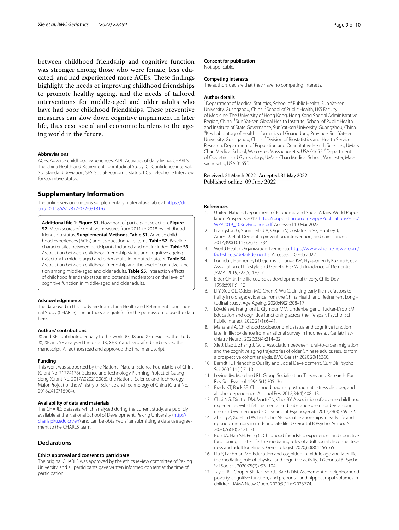between childhood friendship and cognitive function was stronger among those who were female, less educated, and had experienced more ACEs. These findings highlight the needs of improving childhood friendships to promote healthy ageing, and the needs of tailored interventions for middle-aged and older adults who have had poor childhood friendships. These preventive measures can slow down cognitive impairment in later life, thus ease social and economic burdens to the ageing world in the future.

#### **Abbreviations**

ACEs: Adverse childhood experiences; ADL: Activities of daily living; CHARLS: The China Health and Retirement Longitudinal Study; CI: Confdence interval; SD: Standard deviation; SES: Social-economic status; TICS: Telephone Interview for Cognitive Status.

## **Supplementary Information**

The online version contains supplementary material available at [https://doi.](https://doi.org/10.1186/s12877-022-03181-6) [org/10.1186/s12877-022-03181-6](https://doi.org/10.1186/s12877-022-03181-6).

<span id="page-8-15"></span>**Additional fle 1: Figure S1.** Flowchart of participant selection. **Figure S2.** Mean scores of cognitive measures from 2011 to 2018 by childhood friendship status. **Supplemental Methods**. **Table S1.** Adverse childhood experiences (ACEs) and it's questionnaire items. **Table S2.** Baseline characteristics between participants included and not included. **Table S3.** Association between childhood friendship status and cognitive ageing trajectory in middle-aged and older adults in imputed dataset. **Table S4.** Association between childhood friendship and the level of cognitive function among middle-aged and older adults. **Table S5.** Interaction efects of childhood friendship status and potential moderators on the level of cognitive function in middle-aged and older adults.

#### **Acknowledgements**

The data used in this study are from China Health and Retirement Longitudinal Study (CHARLS). The authors are grateful for the permission to use the data here.

#### **Authors' contributions**

JX and XF contributed equally to this work. JG, JX and XF designed the study. JX, XF and YP analysed the data. JX, XF, CY and JG drafted and revised the manuscript. All authors read and approved the fnal manuscript.

#### **Funding**

This work was supported by the National Natural Science Foundation of China (Grant No. 71774178), Science and Technology Planning Project of Guangdong (Grant No. 2017A020212006), the National Science and Technology Major Project of the Ministry of Science and Technology of China (Grant No. 2018ZX10715004).

#### **Availability of data and materials**

The CHARLS datasets, which analysed during the current study, are publicly available at the National School of Development, Peking University [\(http://](http://charls.pku.edu.cn/en) [charls.pku.edu.cn/en\)](http://charls.pku.edu.cn/en) and can be obtained after submitting a data use agreement to the CHARLS team.

#### **Declarations**

#### **Ethics approval and consent to participate**

The original CHARLS was approved by the ethics review committee of Peking University, and all participants gave written informed consent at the time of participation.

#### **Consent for publication**

Not applicable.

#### **Competing interests**

The authors declare that they have no competing interests.

#### **Author details**

<sup>1</sup> Department of Medical Statistics, School of Public Health, Sun Yat-sen University, Guangzhou, China. <sup>2</sup> School of Public Health, LKS Faculty of Medicine, The University of Hong Kong, Hong Kong Special Administrative Region, China. <sup>3</sup> Sun Yat-sen Global Health Institute, School of Public Health and Institute of State Governance, Sun Yat-sen University, Guangzhou, China. 4 <sup>4</sup>Key Laboratory of Health Informatics of Guangdong Province, Sun Yat-sen University, Guangzhou, China. <sup>5</sup> Division of Biostatistics and Health Services Research, Department of Population and Quantitative Health Sciences, UMass Chan Medical School, Worcester, Massachusetts, USA 01655. <sup>6</sup>Department of Obstetrics and Gynecology, UMass Chan Medical School, Worcester, Massachusetts, USA 01655.

## Received: 21 March 2022 Accepted: 31 May 2022 Published online: 09 June 2022

#### **References**

- <span id="page-8-0"></span>1. United Nations Department of Economic and Social Afairs. World Population Prospects 2019. [https://population.un.org/wpp/Publications/Files/](https://population.un.org/wpp/Publications/Files/WPP2019_10KeyFindings.pdf) [WPP2019\\_10KeyFindings.pdf](https://population.un.org/wpp/Publications/Files/WPP2019_10KeyFindings.pdf). Accessed 10 Mar 2022.
- <span id="page-8-1"></span>2. Livingston G, Sommerlad A, Orgeta V, Costafreda SG, Huntley J, Ames D, et al. Dementia prevention, intervention, and care. Lancet. 2017;390(10113):2673–734.
- <span id="page-8-2"></span>3. World Health Organization. Dementia. [https://www.who.int/news-room/](https://www.who.int/news-room/fact-sheets/detail/dementia) [fact-sheets/detail/dementia.](https://www.who.int/news-room/fact-sheets/detail/dementia) Accessed 10 Feb 2022.
- <span id="page-8-3"></span>4. Lourida I, Hannon E, Littlejohns TJ, Langa KM, Hyppönen E, Kuzma E, et al. Association of Lifestyle and Genetic Risk With Incidence of Dementia. JAMA. 2019;322(5):430–7.
- <span id="page-8-4"></span>5. Elder GH Jr. The life course as developmental theory. Child Dev. 1998;69(1):1–12.
- <span id="page-8-5"></span>6. Li Y, Xue QL, Odden MC, Chen X, Wu C. Linking early life risk factors to frailty in old age: evidence from the China Health and Retirement Longitudinal Study. Age Ageing. 2020;49(2):208–17.
- <span id="page-8-6"></span>7. Lövdén M, Fratiglioni L, Glymour MM, Lindenberger U, Tucker-Drob EM. Education and cognitive functioning across the life span. Psychol Sci Public Interest. 2020;21(1):6–41.
- 8. Maharani A. Childhood socioeconomic status and cognitive function later in life: Evidence from a national survey in Indonesia. J Geriatr Psychiatry Neurol. 2020;33(4):214–22.
- <span id="page-8-7"></span>9. Xie J, Liao J, Zhang J, Gu J. Association between rural-to-urban migration and the cognitive aging trajectories of older Chinese adults: results from a prospective cohort analysis. BMC Geriatr. 2020;20(1):360.
- <span id="page-8-8"></span>10. Berndt TJ. Friendship Quality and Social Development. Curr Dir Psychol Sci. 2002;11(1):7–10.
- <span id="page-8-9"></span>11. Levine JM, Moreland RL. Group Socialization: Theory and Research. Eur Rev Soc Psychol. 1994;5(1):305–36.
- <span id="page-8-10"></span>12. Brady KT, Back SE. Childhood trauma, posttraumaticstress disorder, and alcohol dependence. Alcohol Res. 2012;34(4):408–13.
- <span id="page-8-11"></span>13. Choi NG, Dinitto DM, Marti CN, Choi BY. Association of adverse childhood experiences with lifetime mental and substance use disorders among men and women aged 50+ years. Int Psychogeriatr. 2017;29(3):359-72.
- <span id="page-8-12"></span>14. Zhang Z, Xu H, Li LW, Liu J, Choi SE. Social relationships in early life and episodic memory in mid- and late life. J Gerontol B Psychol Sci Soc Sci. 2020;76(10):2121–30.
- <span id="page-8-13"></span>15. Burr JA, Han SH, Peng C. Childhood friendship experiences and cognitive functioning in later life: the mediating roles of adult social disconnectedness and adult loneliness. Gerontologist. 2020;60(8):1456–65.
- <span id="page-8-14"></span>16. Liu Y, Lachman ME. Education and cognition in middle age and later life: the mediating role of physical and cognitive activity. J Gerontol B Psychol Sci Soc Sci. 2020;75(7):e93–104.
- 17. Taylor RL, Cooper SR, Jackson JJ, Barch DM. Assessment of neighborhood poverty, cognitive function, and prefrontal and hippocampal volumes in children. JAMA Netw Open. 2020;3(11):e2023774.